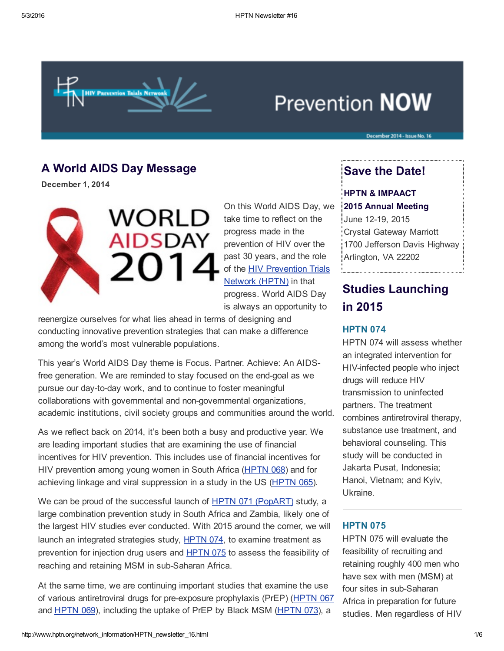

# **Prevention NOW**

# A World AIDS Day Message

December 1, 2014



On this World AIDS Day, we take time to reflect on the progress made in the prevention of HIV over the past 30 years, and the role of the HIV [Prevention](https://t.e2ma.net/click/8451f/wjd8of/41gtkd) Trials Network (HPTN) in that progress. World AIDS Day is always an opportunity to

reenergize ourselves for what lies ahead in terms of designing and conducting innovative prevention strategies that can make a difference among the world's most vulnerable populations.

This year's World AIDS Day theme is Focus. Partner. Achieve: An AIDSfree generation. We are reminded to stay focused on the end-goal as we pursue our day-to-day work, and to continue to foster meaningful collaborations with governmental and non-governmental organizations, academic institutions, civil society groups and communities around the world.

As we reflect back on 2014, it's been both a busy and productive year. We are leading important studies that are examining the use of financial incentives for HIV prevention. This includes use of financial incentives for HIV prevention among young women in South Africa [\(HPTN](https://t.e2ma.net/click/8451f/wjd8of/kuhtkd) 068) and for achieving linkage and viral suppression in a study in the US ([HPTN](https://t.e2ma.net/click/8451f/wjd8of/0mitkd) 065).

We can be proud of the successful launch of HPTN 071 [\(PopART\)](https://t.e2ma.net/click/8451f/wjd8of/gfjtkd) study, a large combination prevention study in South Africa and Zambia, likely one of the largest HIV studies ever conducted. With 2015 around the corner, we will launch an integrated strategies study, [HPTN](https://t.e2ma.net/click/8451f/wjd8of/w7jtkd) 074, to examine treatment as prevention for injection drug users and [HPTN](https://t.e2ma.net/click/8451f/wjd8of/c0ktkd) 075 to assess the feasibility of reaching and retaining MSM in sub-Saharan Africa.

At the same time, we are continuing important studies that examine the use of various antiretroviral drugs for preexposure prophylaxis (PrEP) ([HPTN](https://t.e2ma.net/click/8451f/wjd8of/ssltkd) 067 and [HPTN](https://t.e2ma.net/click/8451f/wjd8of/8kmtkd) 069), including the uptake of PrEP by Black MSM [\(HPTN](https://t.e2ma.net/click/8451f/wjd8of/odntkd) 073), a

# Save the Date!

December 2014 - Issue No. 16

### HPTN & IMPAACT

#### 2015 Annual Meeting

June 12-19, 2015 Crystal Gateway Marriott 1700 Jefferson Davis Highway Arlington, VA 22202

# Studies Launching in 2015

### **HPTN 074**

HPTN 074 will assess whether an integrated intervention for HIV-infected people who inject drugs will reduce HIV transmission to uninfected partners. The treatment combines antiretroviral therapy, substance use treatment, and behavioral counseling. This study will be conducted in Jakarta Pusat, Indonesia; Hanoi, Vietnam; and Kyiv, Ukraine.

#### **HPTN 075**

HPTN 075 will evaluate the feasibility of recruiting and retaining roughly 400 men who have sex with men (MSM) at four sites in sub-Saharan Africa in preparation for future studies. Men regardless of HIV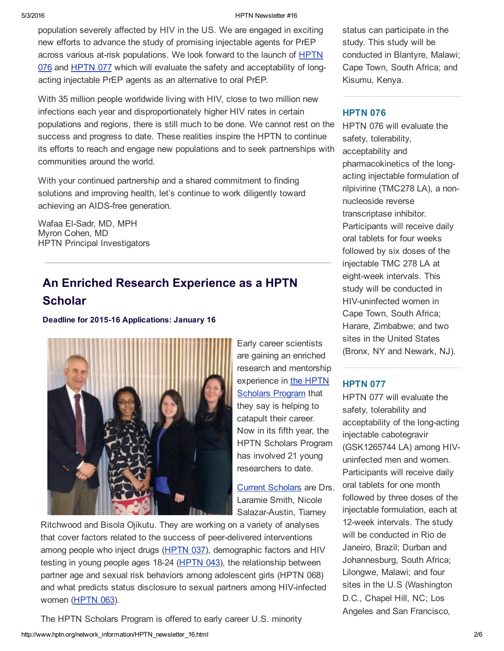#### 5/3/2016 HPTN Newsletter #16

population severely affected by HIV in the US. We are engaged in exciting new efforts to advance the study of promising injectable agents for PrEP across various at-risk populations. We look forward to the launch of HPTN 076 and [HPTN](https://t.e2ma.net/click/8451f/wjd8of/kyotkd) 077 which will evaluate the safety and [acceptability](https://t.e2ma.net/click/8451f/wjd8of/45ntkd) of longacting injectable PrEP agents as an alternative to oral PrEP.

With 35 million people worldwide living with HIV, close to two million new infections each year and disproportionately higher HIV rates in certain populations and regions, there is still much to be done. We cannot rest on the success and progress to date. These realities inspire the HPTN to continue its efforts to reach and engage new populations and to seek partnerships with communities around the world.

With your continued partnership and a shared commitment to finding solutions and improving health, let's continue to work diligently toward achieving an AIDS-free generation.

Wafaa El-Sadr, MD, MPH Myron Cohen, MD HPTN Principal Investigators

# An Enriched Research Experience as a HPTN **Scholar**

Deadline for 2015-16 Applications: January 16



Early career scientists are gaining an enriched research and mentorship [experience](https://t.e2ma.net/click/8451f/wjd8of/0qptkd) in the HPTN **Scholars Program that** they say is helping to catapult their career. Now in its fifth year, the HPTN Scholars Program has involved 21 young researchers to date.

Current [Scholars](https://t.e2ma.net/click/8451f/wjd8of/gjqtkd) are Drs. Laramie Smith, Nicole Salazar-Austin, Tiarney

Ritchwood and Bisola Ojikutu. They are working on a variety of analyses that cover factors related to the success of peer-delivered interventions among people who inject drugs [\(HPTN](https://t.e2ma.net/click/8451f/wjd8of/wbrtkd) 037), demographic factors and HIV testing in young people ages 18-24 ([HPTN](https://t.e2ma.net/click/8451f/wjd8of/c4rtkd) 043), the relationship between partner age and sexual risk behaviors among adolescent girls (HPTN 068) and what predicts status disclosure to sexual partners among HIV-infected women ([HPTN](https://t.e2ma.net/click/8451f/wjd8of/swstkd) 063).

http://www.hptn.org/network\_information/HPTN\_newsletter\_16.html 206 The HPTN Scholars Program is offered to early career U.S. minority

status can participate in the study. This study will be conducted in Blantyre, Malawi; Cape Town, South Africa; and Kisumu, Kenya.

## **HPTN 076**

HPTN 076 will evaluate the safety, tolerability, acceptability and pharmacokinetics of the longacting injectable formulation of rilpivirine (TMC278 LA), a nonnucleoside reverse transcriptase inhibitor. Participants will receive daily oral tablets for four weeks followed by six doses of the injectable TMC 278 LA at eight-week intervals. This study will be conducted in HIV-uninfected women in Cape Town, South Africa; Harare, Zimbabwe; and two sites in the United States (Bronx, NY and Newark, NJ).

## **HPTN 077**

HPTN 077 will evaluate the safety, tolerability and acceptability of the long-acting injectable cabotegravir (GSK1265744 LA) among HIVuninfected men and women. Participants will receive daily oral tablets for one month followed by three doses of the injectable formulation, each at 12-week intervals. The study will be conducted in Rio de Janeiro, Brazil; Durban and Johannesburg, South Africa; Lilongwe, Malawi; and four sites in the U.S (Washington D.C., Chapel Hill, NC; Los Angeles and San Francisco,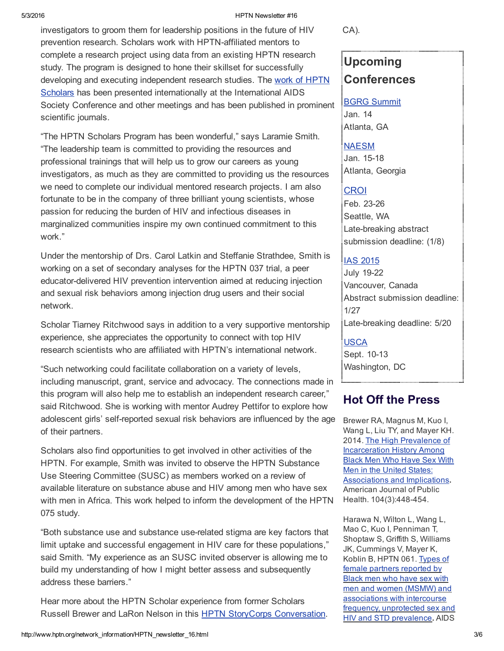#### 5/3/2016 HPTN Newsletter #16

investigators to groom them for leadership positions in the future of HIV prevention research. Scholars work with HPTN-affiliated mentors to complete a research project using data from an existing HPTN research study. The program is designed to hone their skillset for successfully developing and executing independent research studies. The work of HPTN Scholars has been presented [internationally](https://t.e2ma.net/click/8451f/wjd8of/8ottkd) at the International AIDS Society Conference and other meetings and has been published in prominent scientific journals.

"The HPTN Scholars Program has been wonderful," says Laramie Smith. "The leadership team is committed to providing the resources and professional trainings that will help us to grow our careers as young investigators, as much as they are committed to providing us the resources we need to complete our individual mentored research projects. I am also fortunate to be in the company of three brilliant young scientists, whose passion for reducing the burden of HIV and infectious diseases in marginalized communities inspire my own continued commitment to this work."

Under the mentorship of Drs. Carol Latkin and Steffanie Strathdee, Smith is working on a set of secondary analyses for the HPTN 037 trial, a peer educator-delivered HIV prevention intervention aimed at reducing injection and sexual risk behaviors among injection drug users and their social network.

Scholar Tiarney Ritchwood says in addition to a very supportive mentorship experience, she appreciates the opportunity to connect with top HIV research scientists who are affiliated with HPTN's international network.

"Such networking could facilitate collaboration on a variety of levels, including manuscript, grant, service and advocacy. The connections made in this program will also help me to establish an independent research career," said Ritchwood. She is working with mentor Audrey Pettifor to explore how adolescent girls' selfreported sexual risk behaviors are influenced by the age of their partners.

Scholars also find opportunities to get involved in other activities of the HPTN. For example, Smith was invited to observe the HPTN Substance Use Steering Committee (SUSC) as members worked on a review of available literature on substance abuse and HIV among men who have sex with men in Africa. This work helped to inform the development of the HPTN 075 study.

"Both substance use and substance userelated stigma are key factors that limit uptake and successful engagement in HIV care for these populations," said Smith. "My experience as an SUSC invited observer is allowing me to build my understanding of how I might better assess and subsequently address these barriers."

Hear more about the HPTN Scholar experience from former Scholars Russell Brewer and LaRon Nelson in this HPTN StoryCorps [Conversation.](https://t.e2ma.net/click/8451f/wjd8of/ohutkd) CA).

# Upcoming **Conferences**

## BGRG [Summit](https://t.e2ma.net/click/8451f/wjd8of/4d2tkd) Jan. 14 Atlanta, GA

### [NAESM](https://t.e2ma.net/click/8451f/wjd8of/k62tkd)

Jan. 15-18 Atlanta, Georgia

# [CROI](https://t.e2ma.net/click/8451f/wjd8of/0y3tkd)

Feb. 23-26 Seattle, WA Late-breaking abstract submission deadline: (1/8)

## IAS [2015](https://t.e2ma.net/click/8451f/wjd8of/gr4tkd)

July 19-22 Vancouver, Canada Abstract submission deadline: 1/27 Late-breaking deadline: 5/20

## [USCA](https://t.e2ma.net/click/8451f/wjd8of/wj5tkd)

Sept. 10-13 Washington, DC

# Hot Off the Press

Brewer RA, Magnus M, Kuo I, Wang L, Liu TY, and Mayer KH. 2014. The High Prevalence of [Incarceration](https://t.e2ma.net/click/8451f/wjd8of/cc6tkd) History Among Black Men Who Have Sex With Men in the United States: Associations and Implications. American Journal of Public Health. 104(3):448-454.

Harawa N, Wilton L, Wang L, Mao C, Kuo I, Penniman T, Shoptaw S, Griffith S, Williams JK, Cummings V, Mayer K, Koblin B, HPTN 061. Types of female partners reported by Black men who have sex with men and women (MSMW) and [associations](https://t.e2ma.net/click/8451f/wjd8of/s46tkd) with intercourse frequency, unprotected sex and HIV and STD prevalence. AIDS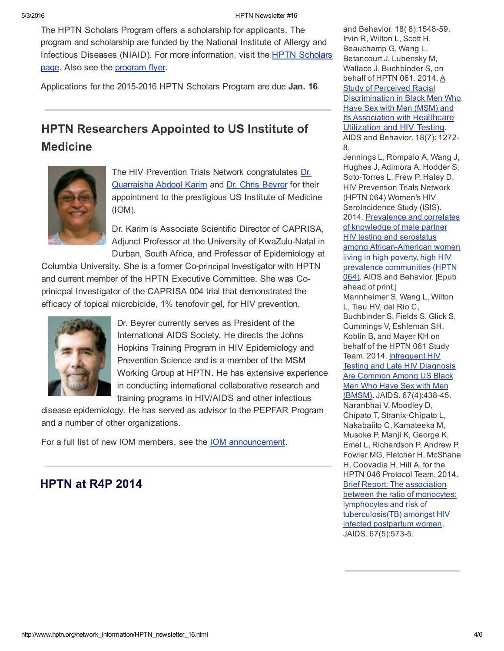The HPTN Scholars Program offers a scholarship for applicants. The program and scholarship are funded by the National Institute of Allergy and Infectious Diseases (NIAID). For more [information,](https://t.e2ma.net/click/8451f/wjd8of/49utkd) visit the HPTN Scholars page. Also see the [program](https://t.e2ma.net/click/8451f/wjd8of/k2vtkd) flyer.

Applications for the 2015-2016 HPTN Scholars Program are due Jan. 16.

# HPTN Researchers Appointed to US Institute of **Medicine**



The HIV Prevention Trials Network [congratulates](https://t.e2ma.net/click/8451f/wjd8of/0uwtkd) Dr. Quarraisha Abdool Karim and Dr. Chris [Beyrer](https://t.e2ma.net/click/8451f/wjd8of/gnxtkd) for their appointment to the prestigious US Institute of Medicine (IOM).

Dr. Karim is Associate Scientific Director of CAPRISA, Adjunct Professor at the University of KwaZulu-Natal in Durban, South Africa, and Professor of Epidemiology at

Columbia University. She is a former Co-principal Investigator with HPTN and current member of the HPTN Executive Committee. She was Coprinicpal Investigator of the CAPRISA 004 trial that demonstrated the efficacy of topical microbicide, 1% tenofovir gel, for HIV prevention.



Dr. Beyrer currently serves as President of the International AIDS Society. He directs the Johns Hopkins Training Program in HIV Epidemiology and Prevention Science and is a member of the MSM Working Group at HPTN. He has extensive experience in conducting international collaborative research and training programs in HIV/AIDS and other infectious

disease epidemiology. He has served as advisor to the PEPFAR Program and a number of other organizations.

For a full list of new IOM members, see the IOM [announcement.](https://t.e2ma.net/click/8451f/wjd8of/wfytkd)

# HPTN at R4P 2014

and Behavior. 18(8):1548-59. Irvin R, Wilton L, Scott H, Beauchamp G, Wang L, Betancourt J, Lubensky M, Wallace J, Buchbinder S, on behalf of HPTN 061. 2014. A Study of Perceived Racial [Discrimination](https://t.e2ma.net/click/8451f/wjd8of/op8tkd) in Black Men Who Have Sex with Men (MSM) and **Its [Association](https://t.e2ma.net/click/8451f/wjd8of/kaaukd) with Healthcare** Utilization and HIV Testing. AIDS and Behavior. 18(7): 1272 8. Jennings L, Rompalo A, Wang J,

Hughes J, Adimora A, Hodder S, Soto‐Torres L, Frew P, Haley D, HIV Prevention Trials Network (HPTN 064) Women's HIV SeroIncidence Study (ISIS). 2014. Prevalence and correlates of knowledge of male partner HIV testing and serostatus among African‐American women living in high poverty, high HIV prevalence [communities](https://t.e2ma.net/click/8451f/wjd8of/02aukd) (HPTN 064). AIDS and Behavior. [Epub ahead of print.] Mannheimer S, Wang L, Wilton L, Tieu HV, del Rio C, Buchbinder S, Fields S, Glick S, Cummings V, Eshleman SH, Koblin B, and Mayer KH on behalf of the HPTN 061 Study Team. 2014. [Infrequent](https://t.e2ma.net/click/8451f/wjd8of/gvbukd) HIV Testing and Late HIV Diagnosis Are Common Among US Black Men Who Have Sex with Men (BMSM). JAIDS. 67(4):438-45. Naranbhai V, Moodley D, Chipato T, Stranix-Chipato L, Nakabaiito C, Kamateeka M, Musoke P, Manji K, George K, Emel L, Richardson P, Andrew P, Fowler MG, Fletcher H, McShane H, Coovadia H, Hill A, for the HPTN 046 Protocol Team. 2014. Brief Report: The association between the ratio of monocytes: lymphocytes and risk of [tuberculosis\(TB\)](https://t.e2ma.net/click/8451f/wjd8of/cgdukd) amongst HIV infected postpartum women. JAIDS. 67(5):573-5.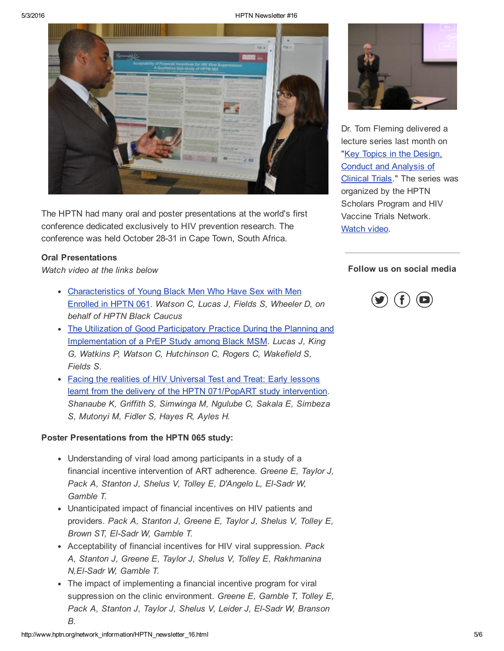#### 5/3/2016 HPTN Newsletter #16



The HPTN had many oral and poster presentations at the world's first conference dedicated exclusively to HIV prevention research. The conference was held October 28-31 in Cape Town, South Africa.

#### Oral Presentations

*Watch video at the links below*

- [Characteristics](https://t.e2ma.net/click/8451f/wjd8of/c8ytkd) of Young Black Men Who Have Sex with Men Enrolled in HPTN 061. *Watson C, Lucas J, Fields S, Wheeler D, on behalf of HPTN Black Caucus*
- The Utilization of Good Participatory Practice During the Planning and [Implementation](https://t.e2ma.net/click/8451f/wjd8of/s0ztkd) of a PrEP Study among Black MSM. *Lucas J, King G, Watkins P, Watson C, Hutchinson C, Rogers C, Wakefield S, Fields S.*
- Facing the realities of HIV Universal Test and Treat: Early lessons learnt from the delivery of the HPTN [071/PopART](https://t.e2ma.net/click/8451f/wjd8of/8s0tkd) study intervention. *Shanaube K, Griffith S, Simwinga M, Ngulube C, Sakala E, Simbeza S, Mutonyi M, Fidler S, Hayes R, Ayles H.*

#### Poster Presentations from the HPTN 065 study:

- Understanding of viral load among participants in a study of a financial incentive intervention of ART adherence. *Greene E, Taylor J, Pack A, Stanton J, Shelus V, Tolley E, D'Angelo L, ElSadr W, Gamble T.*
- Unanticipated impact of financial incentives on HIV patients and providers. *Pack A, Stanton J, Greene E, Taylor J, Shelus V, Tolley E, Brown ST, ElSadr W, Gamble T.*
- Acceptability of financial incentives for HIV viral suppression. *Pack A, Stanton J, Greene E, Taylor J, Shelus V, Tolley E, Rakhmanina N,ElSadr W, Gamble T.*
- The impact of implementing a financial incentive program for viral suppression on the clinic environment. *Greene E, Gamble T, Tolley E, Pack A, Stanton J, Taylor J, Shelus V, Leider J, ElSadr W, Branson B.*



Dr. Tom Fleming delivered a lecture series last month on "Key Topics in the Design, Conduct and [Analysis](https://t.e2ma.net/click/8451f/wjd8of/80eukd) of Clinical Trials." The series was organized by the HPTN Scholars Program and HIV Vaccine Trials Network. [Watch](https://t.e2ma.net/click/8451f/wjd8of/otfukd) video.

### Follow us on social media